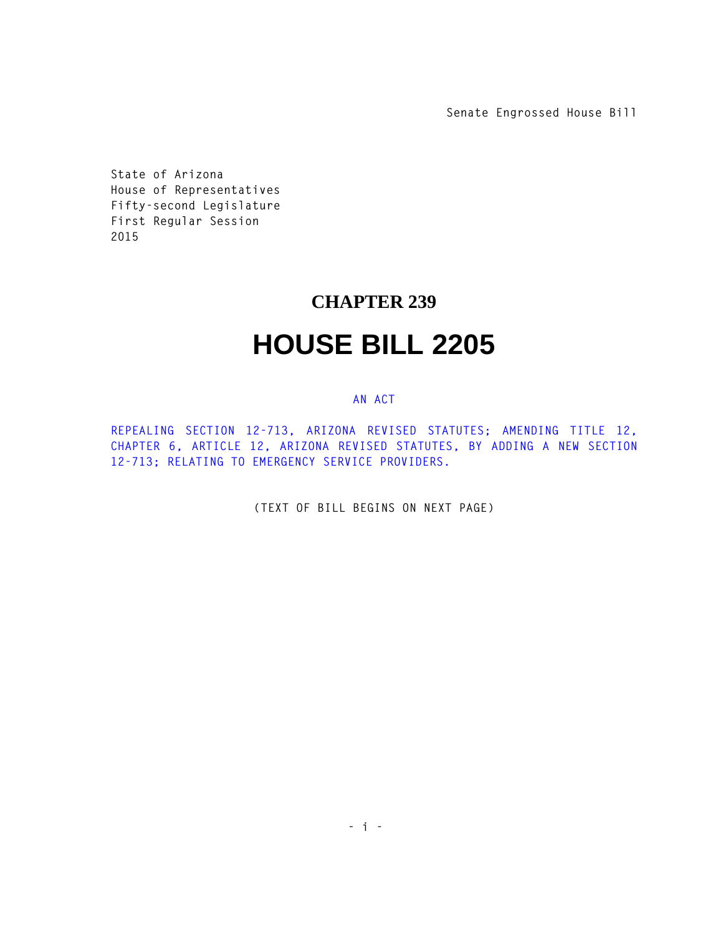**Senate Engrossed House Bill**

**State of Arizona House of Representatives Fifty-second Legislature First Regular Session 2015** 

## **CHAPTER 239**

## **HOUSE BILL 2205**

## **AN ACT**

**REPEALING SECTION 12-713, ARIZONA REVISED STATUTES; AMENDING TITLE 12, CHAPTER 6, ARTICLE 12, ARIZONA REVISED STATUTES, BY ADDING A NEW SECTION 12-713; RELATING TO EMERGENCY SERVICE PROVIDERS.** 

**(TEXT OF BILL BEGINS ON NEXT PAGE)**